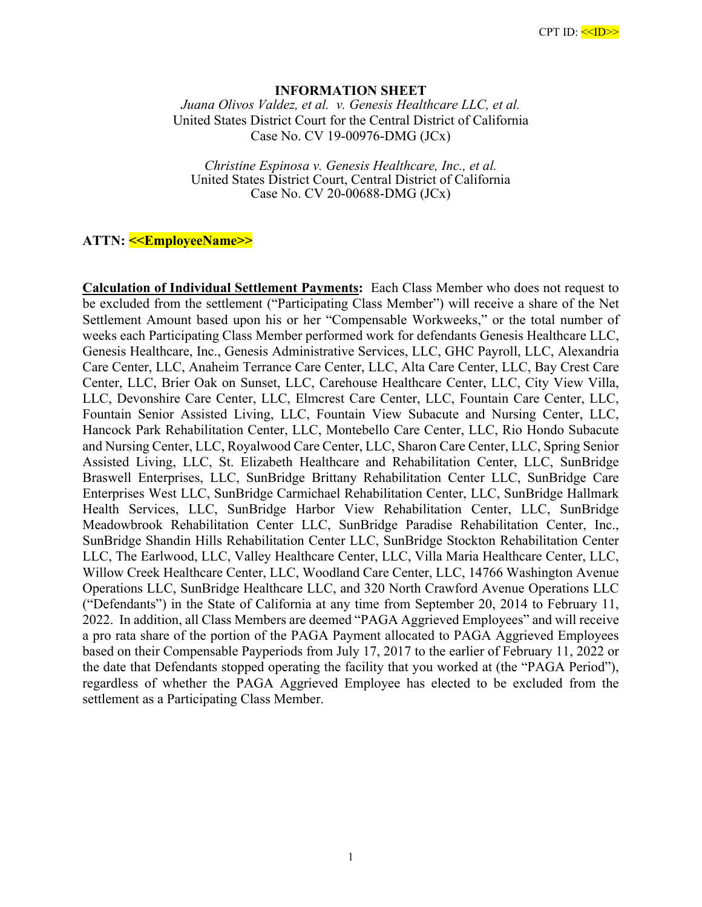## **INFORMATION SHEET**

*Juana Olivos Valdez, et al. v. Genesis Healthcare LLC, et al.*  United States District Court for the Central District of California Case No. CV 19-00976-DMG (JCx)

*Christine Espinosa v. Genesis Healthcare, Inc., et al.*  United States District Court, Central District of California Case No. CV 20-00688-DMG (JCx)

## **ATTN: <<EmployeeName>>**

**Calculation of Individual Settlement Payments:** Each Class Member who does not request to be excluded from the settlement ("Participating Class Member") will receive a share of the Net Settlement Amount based upon his or her "Compensable Workweeks," or the total number of weeks each Participating Class Member performed work for defendants Genesis Healthcare LLC, Genesis Healthcare, Inc., Genesis Administrative Services, LLC, GHC Payroll, LLC, Alexandria Care Center, LLC, Anaheim Terrance Care Center, LLC, Alta Care Center, LLC, Bay Crest Care Center, LLC, Brier Oak on Sunset, LLC, Carehouse Healthcare Center, LLC, City View Villa, LLC, Devonshire Care Center, LLC, Elmcrest Care Center, LLC, Fountain Care Center, LLC, Fountain Senior Assisted Living, LLC, Fountain View Subacute and Nursing Center, LLC, Hancock Park Rehabilitation Center, LLC, Montebello Care Center, LLC, Rio Hondo Subacute and Nursing Center, LLC, Royalwood Care Center, LLC, Sharon Care Center, LLC, Spring Senior Assisted Living, LLC, St. Elizabeth Healthcare and Rehabilitation Center, LLC, SunBridge Braswell Enterprises, LLC, SunBridge Brittany Rehabilitation Center LLC, SunBridge Care Enterprises West LLC, SunBridge Carmichael Rehabilitation Center, LLC, SunBridge Hallmark Health Services, LLC, SunBridge Harbor View Rehabilitation Center, LLC, SunBridge Meadowbrook Rehabilitation Center LLC, SunBridge Paradise Rehabilitation Center, Inc., SunBridge Shandin Hills Rehabilitation Center LLC, SunBridge Stockton Rehabilitation Center LLC, The Earlwood, LLC, Valley Healthcare Center, LLC, Villa Maria Healthcare Center, LLC, Willow Creek Healthcare Center, LLC, Woodland Care Center, LLC, 14766 Washington Avenue Operations LLC, SunBridge Healthcare LLC, and 320 North Crawford Avenue Operations LLC ("Defendants") in the State of California at any time from September 20, 2014 to February 11, 2022. In addition, all Class Members are deemed "PAGA Aggrieved Employees" and will receive a pro rata share of the portion of the PAGA Payment allocated to PAGA Aggrieved Employees based on their Compensable Payperiods from July 17, 2017 to the earlier of February 11, 2022 or the date that Defendants stopped operating the facility that you worked at (the "PAGA Period"), regardless of whether the PAGA Aggrieved Employee has elected to be excluded from the settlement as a Participating Class Member.